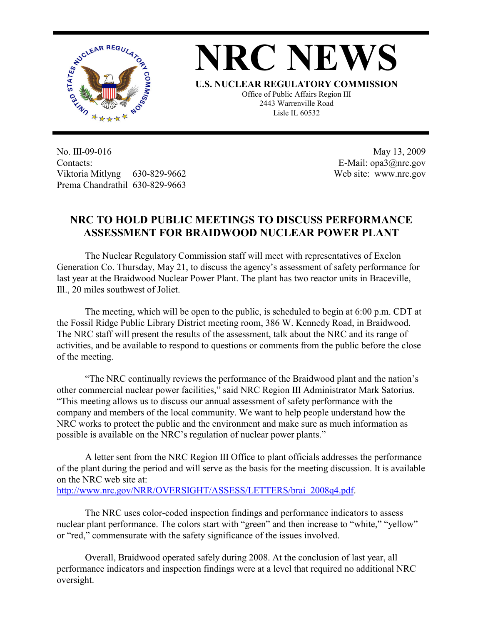

**NRC NEWS**

**U.S. NUCLEAR REGULATORY COMMISSION** Office of Public Affairs Region III 2443 Warrenville Road Lisle IL 60532

No. III-09-016 Contacts: Viktoria Mitlyng 630-829-9662 Prema Chandrathil 630-829-9663

 May 13, 2009 E-Mail: opa3@nrc.gov Web site: www.nrc.gov

## **NRC TO HOLD PUBLIC MEETINGS TO DISCUSS PERFORMANCE ASSESSMENT FOR BRAIDWOOD NUCLEAR POWER PLANT**

 The Nuclear Regulatory Commission staff will meet with representatives of Exelon Generation Co. Thursday, May 21, to discuss the agency's assessment of safety performance for last year at the Braidwood Nuclear Power Plant. The plant has two reactor units in Braceville, Ill., 20 miles southwest of Joliet.

 The meeting, which will be open to the public, is scheduled to begin at 6:00 p.m. CDT at the Fossil Ridge Public Library District meeting room, 386 W. Kennedy Road, in Braidwood. The NRC staff will present the results of the assessment, talk about the NRC and its range of activities, and be available to respond to questions or comments from the public before the close of the meeting.

 "The NRC continually reviews the performance of the Braidwood plant and the nation's other commercial nuclear power facilities," said NRC Region III Administrator Mark Satorius. "This meeting allows us to discuss our annual assessment of safety performance with the company and members of the local community. We want to help people understand how the NRC works to protect the public and the environment and make sure as much information as possible is available on the NRC's regulation of nuclear power plants."

 A letter sent from the NRC Region III Office to plant officials addresses the performance of the plant during the period and will serve as the basis for the meeting discussion. It is available on the NRC web site at: http://www.nrc.gov/NRR/OVERSIGHT/ASSESS/LETTERS/brai\_2008q4.pdf.

 The NRC uses color-coded inspection findings and performance indicators to assess nuclear plant performance. The colors start with "green" and then increase to "white," "yellow" or "red," commensurate with the safety significance of the issues involved.

Overall, Braidwood operated safely during 2008. At the conclusion of last year, all performance indicators and inspection findings were at a level that required no additional NRC oversight.